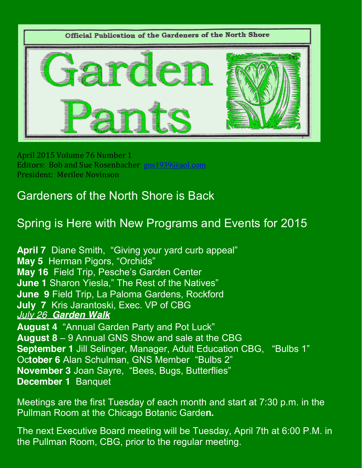

April 2015 Volume 76 Number 1 Editors: Bob and Sue Rosenbacher gns1939@aol.com President: Merilee Novinson

## Gardeners of the North Shore is Back

## Spring is Here with New Programs and Events for 2015

**April 7** Diane Smith, "Giving your yard curb appeal" **May 5** Herman Pigors, "Orchids" **May 16** Field Trip, Pesche's Garden Center **June 1** Sharon Yiesla," The Rest of the Natives" **June 9** Field Trip, La Paloma Gardens, Rockford **July 7** Kris Jarantoski, Exec. VP of CBG *July 26 Garden Walk* **August 4** "Annual Garden Party and Pot Luck"

**August 8** – 9 Annual GNS Show and sale at the CBG **September 1** Jill Selinger, Manager, Adult Education CBG, "Bulbs 1" Oc**tober 6** Alan Schulman, GNS Member "Bulbs 2" **November 3** Joan Sayre, "Bees, Bugs, Butterflies" **December 1** Banquet

Meetings are the first Tuesday of each month and start at 7:30 p.m. in the Pullman Room at the Chicago Botanic Garde**n.**

The next Executive Board meeting will be Tuesday, April 7th at 6:00 P.M. in the Pullman Room, CBG, prior to the regular meeting.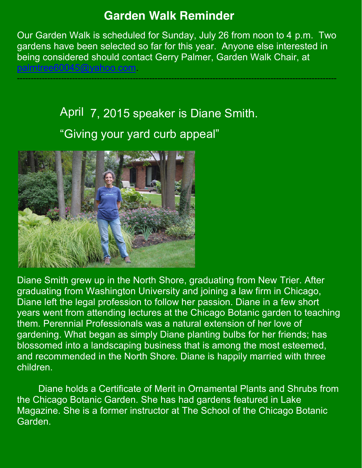#### **Garden Walk Reminder**

Our Garden Walk is scheduled for Sunday, July 26 from noon to 4 p.m. Two gardens have been selected so far for this year. Anyone else interested in being considered should contact Gerry Palmer, Garden Walk Chair, at palmtree60045@yahoo.com.

--------------------------------------------------------------------------------------------------------------------

# April 7, 2015 speaker is Diane Smith. "Giving your yard curb appeal"



Diane Smith grew up in the North Shore, graduating from New Trier. After graduating from Washington University and joining a law firm in Chicago, Diane left the legal profession to follow her passion. Diane in a few short years went from attending lectures at the Chicago Botanic garden to teaching them. Perennial Professionals was a natural extension of her love of gardening. What began as simply Diane planting bulbs for her friends; has blossomed into a landscaping business that is among the most esteemed, and recommended in the North Shore. Diane is happily married with three children.

Diane holds a Certificate of Merit in Ornamental Plants and Shrubs from the Chicago Botanic Garden. She has had gardens featured in Lake Magazine. She is a former instructor at The School of the Chicago Botanic Garden.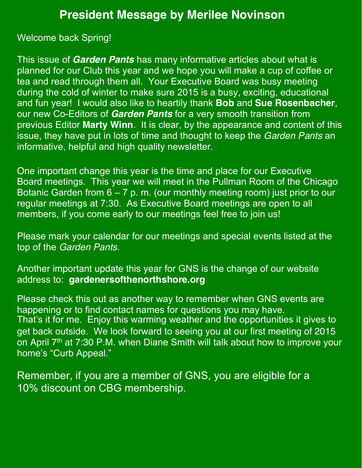#### **President Message by Merilee Novinson**

Welcome back Spring!

This issue of *Garden Pants* has many informative articles about what is planned for our Club this year and we hope you will make a cup of coffee or tea and read through them all. Your Executive Board was busy meeting during the cold of winter to make sure 2015 is a busy, exciting, educational and fun year! I would also like to heartily thank **Bob** and **Sue Rosenbacher**, our new Co-Editors of *Garden Pants* for a very smooth transition from previous Editor **Marty Winn**. It is clear, by the appearance and content of this issue, they have put in lots of time and thought to keep the *Garden Pants* an informative, helpful and high quality newsletter.

One important change this year is the time and place for our Executive Board meetings. This year we will meet in the Pullman Room of the Chicago Botanic Garden from  $6 - 7$  p. m. (our monthly meeting room) just prior to our regular meetings at 7:30. As Executive Board meetings are open to all members, if you come early to our meetings feel free to join us!

Please mark your calendar for our meetings and special events listed at the top of the *Garden Pants*.

Another important update this year for GNS is the change of our website address to: **gardenersofthenorthshore.org**

Please check this out as another way to remember when GNS events are happening or to find contact names for questions you may have. That's it for me. Enjoy this warming weather and the opportunities it gives to get back outside. We look forward to seeing you at our first meeting of 2015 on April  $7<sup>th</sup>$  at 7:30 P.M. when Diane Smith will talk about how to improve your home's "Curb Appeal."

Remember, if you are a member of GNS, you are eligible for a 10% discount on CBG membership.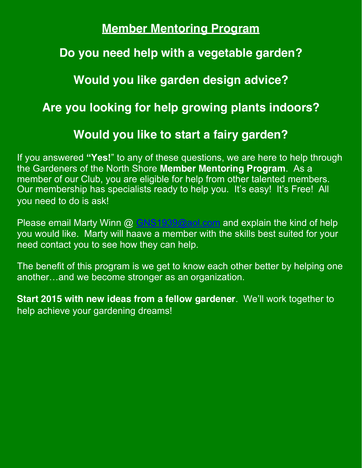### **Member Mentoring Program**

## **Do you need help with a vegetable garden?**

**Would you like garden design advice?** 

**Are you looking for help growing plants indoors?** 

#### **Would you like to start a fairy garden?**

If you answered **"Yes!**" to any of these questions, we are here to help through the Gardeners of the North Shore **Member Mentoring Program**. As a member of our Club, you are eligible for help from other talented members. Our membership has specialists ready to help you. It's easy! It's Free! All you need to do is ask!

Please email Marty Winn @ GNS1939@aol.com and explain the kind of help you would like. Marty will haave a member with the skills best suited for your need contact you to see how they can help.

The benefit of this program is we get to know each other better by helping one another…and we become stronger as an organization.

**Start 2015 with new ideas from a fellow gardener**. We'll work together to help achieve your gardening dreams!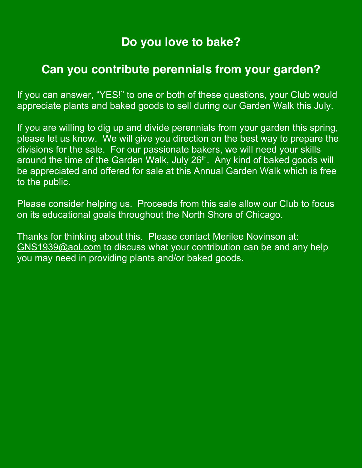## **Do you love to bake?**

### **Can you contribute perennials from your garden?**

If you can answer, "YES!" to one or both of these questions, your Club would appreciate plants and baked goods to sell during our Garden Walk this July.

If you are willing to dig up and divide perennials from your garden this spring, please let us know. We will give you direction on the best way to prepare the divisions for the sale. For our passionate bakers, we will need your skills around the time of the Garden Walk, July 26<sup>th</sup>. Any kind of baked goods will be appreciated and offered for sale at this Annual Garden Walk which is free to the public.

Please consider helping us. Proceeds from this sale allow our Club to focus on its educational goals throughout the North Shore of Chicago.

Thanks for thinking about this. Please contact Merilee Novinson at: GNS1939@aol.com to discuss what your contribution can be and any help you may need in providing plants and/or baked goods.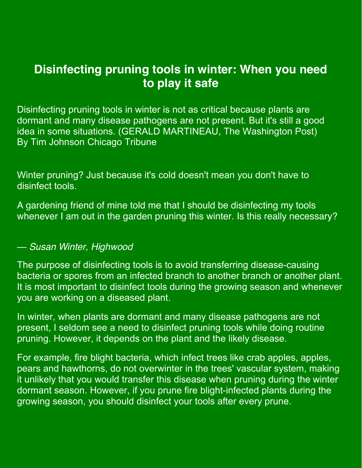## **Disinfecting pruning tools in winter: When you need to play it safe**

Disinfecting pruning tools in winter is not as critical because plants are dormant and many disease pathogens are not present. But it's still a good idea in some situations. (GERALD MARTINEAU, The Washington Post) By Tim Johnson Chicago Tribune

Winter pruning? Just because it's cold doesn't mean you don't have to disinfect tools.

A gardening friend of mine told me that I should be disinfecting my tools whenever I am out in the garden pruning this winter. Is this really necessary?

#### *— Susan Winter, Highwood*

The purpose of disinfecting tools is to avoid transferring disease-causing bacteria or spores from an infected branch to another branch or another plant. It is most important to disinfect tools during the growing season and whenever you are working on a diseased plant.

In winter, when plants are dormant and many disease pathogens are not present, I seldom see a need to disinfect pruning tools while doing routine pruning. However, it depends on the plant and the likely disease.

For example, fire blight bacteria, which infect trees like crab apples, apples, pears and hawthorns, do not overwinter in the trees' vascular system, making it unlikely that you would transfer this disease when pruning during the winter dormant season. However, if you prune fire blight-infected plants during the growing season, you should disinfect your tools after every prune.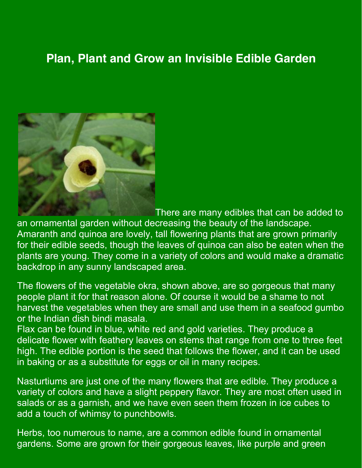## **Plan, Plant and Grow an Invisible Edible Garden**



There are many edibles that can be added to an ornamental garden without decreasing the beauty of the landscape. Amaranth and quinoa are lovely, tall flowering plants that are grown primarily for their edible seeds, though the leaves of quinoa can also be eaten when the plants are young. They come in a variety of colors and would make a dramatic backdrop in any sunny landscaped area.

The flowers of the vegetable okra, shown above, are so gorgeous that many people plant it for that reason alone. Of course it would be a shame to not harvest the vegetables when they are small and use them in a seafood gumbo or the Indian dish bindi masala.

Flax can be found in blue, white red and gold varieties. They produce a delicate flower with feathery leaves on stems that range from one to three feet high. The edible portion is the seed that follows the flower, and it can be used in baking or as a substitute for eggs or oil in many recipes.

Nasturtiums are just one of the many flowers that are edible. They produce a variety of colors and have a slight peppery flavor. They are most often used in salads or as a garnish, and we have even seen them frozen in ice cubes to add a touch of whimsy to punchbowls.

Herbs, too numerous to name, are a common edible found in ornamental gardens. Some are grown for their gorgeous leaves, like purple and green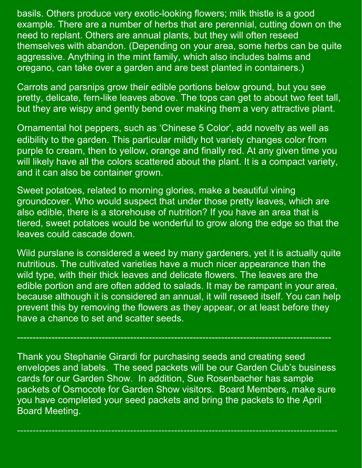basils. Others produce very exotic-looking flowers; milk thistle is a good example. There are a number of herbs that are perennial, cutting down on the need to replant. Others are annual plants, but they will often reseed themselves with abandon. (Depending on your area, some herbs can be quite aggressive. Anything in the mint family, which also includes balms and oregano, can take over a garden and are best planted in containers.)

Carrots and parsnips grow their edible portions below ground, but you see pretty, delicate, fern-like leaves above. The tops can get to about two feet tall, but they are wispy and gently bend over making them a very attractive plant.

Ornamental hot peppers, such as 'Chinese 5 Color', add novelty as well as edibility to the garden. This particular mildly hot variety changes color from purple to cream, then to yellow, orange and finally red. At any given time you will likely have all the colors scattered about the plant. It is a compact variety, and it can also be container grown.

Sweet potatoes, related to morning glories, make a beautiful vining groundcover. Who would suspect that under those pretty leaves, which are also edible, there is a storehouse of nutrition? If you have an area that is tiered, sweet potatoes would be wonderful to grow along the edge so that the leaves could cascade down.

Wild purslane is considered a weed by many gardeners, yet it is actually quite nutritious. The cultivated varieties have a much nicer appearance than the wild type, with their thick leaves and delicate flowers. The leaves are the edible portion and are often added to salads. It may be rampant in your area, because although it is considered an annual, it will reseed itself. You can help prevent this by removing the flowers as they appear, or at least before they have a chance to set and scatter seeds.

Thank you Stephanie Girardi for purchasing seeds and creating seed envelopes and labels. The seed packets will be our Garden Club's business cards for our Garden Show. In addition, Sue Rosenbacher has sample packets of Osmocote for Garden Show visitors. Board Members, make sure you have completed your seed packets and bring the packets to the April Board Meeting.

------------------------------------------------------------------------------------------------------

----------------------------------------------------------------------------------------------------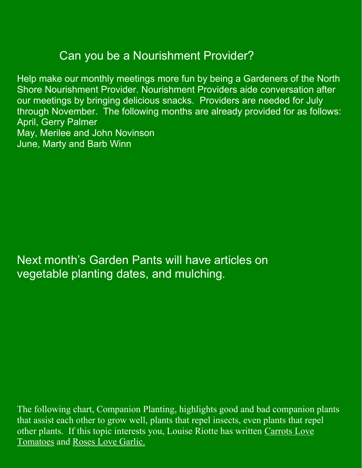## Can you be a Nourishment Provider?

Help make our monthly meetings more fun by being a Gardeners of the North Shore Nourishment Provider. Nourishment Providers aide conversation after our meetings by bringing delicious snacks. Providers are needed for July through November. The following months are already provided for as follows: April, Gerry Palmer May, Merilee and John Novinson June, Marty and Barb Winn

Next month's Garden Pants will have articles on vegetable planting dates, and mulching.

The following chart, Companion Planting, highlights good and bad companion plants that assist each other to grow well, plants that repel insects, even plants that repel other plants. If this topic interests you, Louise Riotte has written Carrots Love Tomatoes and Roses Love Garlic.